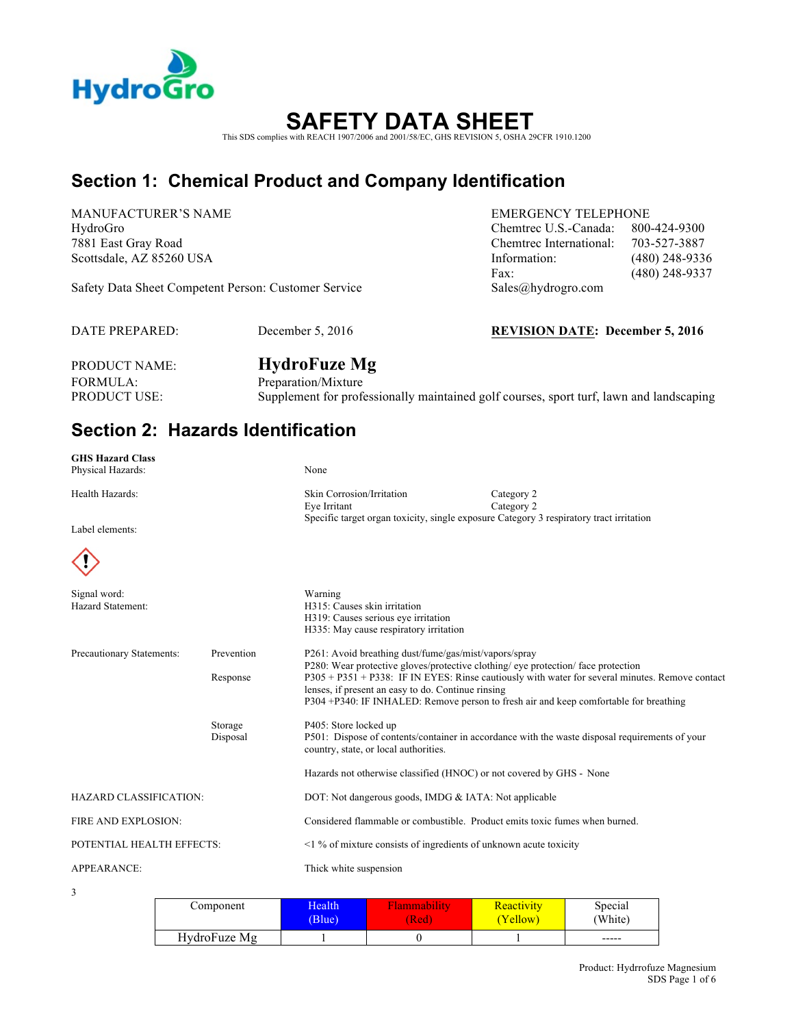

# **SAFETY DATA SHEET**

This SDS complies with REACH 1907/2006 and 2001/58/EC, GHS REVISION 5, OSHA 29CFR 1910.1200

### **Section 1: Chemical Product and Company Identification**

MANUFACTURER'S NAME EMERGENCY TELEPHONE

Safety Data Sheet Competent Person: Customer Service Sales@hydrogro.com

DATE PREPARED: December 5, 2016 **REVISION DATE: December 5, 2016**

HydroGro Chemtrec U.S.-Canada: 800-424-9300 7881 East Gray Road Chemtrec International: 703-527-3887 Scottsdale, AZ 85260 USA Information: (480) 248-9336 Fax: (480) 248-9337

PRODUCT NAME: **HydroFuze Mg** 

FORMULA: Preparation/Mixture PRODUCT USE: Supplement for professionally maintained golf courses, sport turf, lawn and landscaping

### **Section 2: Hazards Identification**

| <b>GHS Hazard Class</b>           |                        |                                                                                                                                                                                                  |                                                                                                                                                                                         |
|-----------------------------------|------------------------|--------------------------------------------------------------------------------------------------------------------------------------------------------------------------------------------------|-----------------------------------------------------------------------------------------------------------------------------------------------------------------------------------------|
| Physical Hazards:                 |                        | None                                                                                                                                                                                             |                                                                                                                                                                                         |
| Health Hazards:                   |                        | Skin Corrosion/Irritation<br>Eye Irritant                                                                                                                                                        | Category 2<br>Category 2                                                                                                                                                                |
| Label elements:                   |                        | Specific target organ toxicity, single exposure Category 3 respiratory tract irritation                                                                                                          |                                                                                                                                                                                         |
|                                   |                        |                                                                                                                                                                                                  |                                                                                                                                                                                         |
| Signal word:<br>Hazard Statement: |                        | Warning<br>H315: Causes skin irritation<br>H319: Causes serious eve irritation<br>H335: May cause respiratory irritation                                                                         |                                                                                                                                                                                         |
| Precautionary Statements:         | Prevention<br>Response | P261: Avoid breathing dust/fume/gas/mist/vapors/spray<br>P280: Wear protective gloves/protective clothing/ eye protection/ face protection<br>lenses, if present an easy to do. Continue rinsing | P305 + P351 + P338: IF IN EYES: Rinse cautiously with water for several minutes. Remove contact<br>P304+P340: IF INHALED: Remove person to fresh air and keep comfortable for breathing |
|                                   | Storage<br>Disposal    | P405: Store locked up<br>country, state, or local authorities.                                                                                                                                   | P501: Dispose of contents/container in accordance with the waste disposal requirements of your                                                                                          |
|                                   |                        | Hazards not otherwise classified (HNOC) or not covered by GHS - None                                                                                                                             |                                                                                                                                                                                         |
| <b>HAZARD CLASSIFICATION:</b>     |                        | DOT: Not dangerous goods, IMDG & IATA: Not applicable                                                                                                                                            |                                                                                                                                                                                         |
| FIRE AND EXPLOSION:               |                        | Considered flammable or combustible. Product emits toxic fumes when burned.                                                                                                                      |                                                                                                                                                                                         |
| POTENTIAL HEALTH EFFECTS:         |                        | $\leq$ 1 % of mixture consists of ingredients of unknown acute toxicity                                                                                                                          |                                                                                                                                                                                         |
| APPEARANCE:                       |                        | Thick white suspension                                                                                                                                                                           |                                                                                                                                                                                         |
|                                   |                        |                                                                                                                                                                                                  |                                                                                                                                                                                         |

3

| Component    | Health | ⊴lammabılıtv | Reactivity | Special |
|--------------|--------|--------------|------------|---------|
|              | (Blue) | <b>Red</b>   | (Yellow)   | (White) |
| HydroFuze Mg |        |              |            | -----   |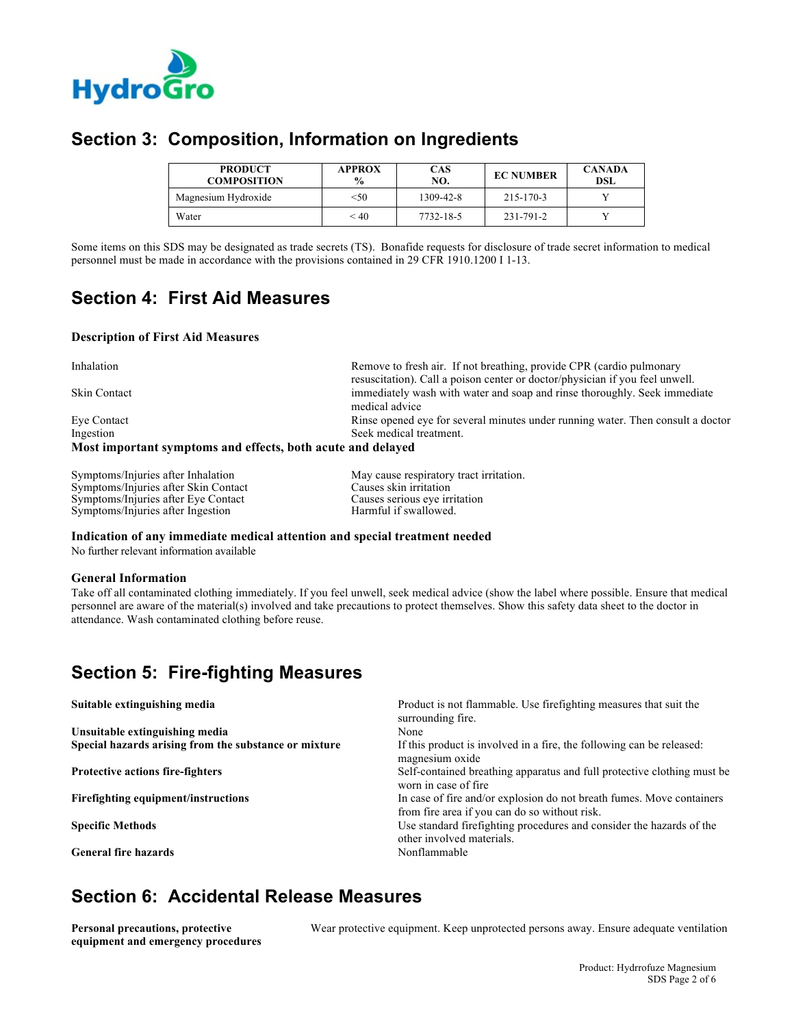

#### **Section 3: Composition, Information on Ingredients**

| <b>PRODUCT</b><br><b>COMPOSITION</b> | <b>APPROX</b><br>$\frac{0}{0}$ | <b>CAS</b><br>NO. | <b>EC NUMBER</b> | <b>CANADA</b><br>DSL |
|--------------------------------------|--------------------------------|-------------------|------------------|----------------------|
| Magnesium Hydroxide                  | < 50                           | 1309-42-8         | 215-170-3        |                      |
| Water                                | < 40                           | 7732-18-5         | 231-791-2        |                      |

Some items on this SDS may be designated as trade secrets (TS). Bonafide requests for disclosure of trade secret information to medical personnel must be made in accordance with the provisions contained in 29 CFR 1910.1200 I 1-13.

#### **Section 4: First Aid Measures**

#### **Description of First Aid Measures**

| Inhalation                                                  | Remove to fresh air. If not breathing, provide CPR (cardio pulmonary            |
|-------------------------------------------------------------|---------------------------------------------------------------------------------|
|                                                             | resuscitation). Call a poison center or doctor/physician if you feel unwell.    |
| <b>Skin Contact</b>                                         | immediately wash with water and soap and rinse thoroughly. Seek immediate       |
|                                                             | medical advice                                                                  |
| Eye Contact                                                 | Rinse opened eye for several minutes under running water. Then consult a doctor |
| Ingestion                                                   | Seek medical treatment.                                                         |
| Most important symptoms and effects, both acute and delayed |                                                                                 |

| Symptoms/Injuries after Inhalation   |
|--------------------------------------|
| Symptoms/Injuries after Skin Contact |
| Symptoms/Injuries after Eye Contact  |
| Symptoms/Injuries after Ingestion    |

May cause respiratory tract irritation. Causes skin irritation Causes serious eye irritation Harmful if swallowed.

**Indication of any immediate medical attention and special treatment needed**

No further relevant information available

#### **General Information**

Take off all contaminated clothing immediately. If you feel unwell, seek medical advice (show the label where possible. Ensure that medical personnel are aware of the material(s) involved and take precautions to protect themselves. Show this safety data sheet to the doctor in attendance. Wash contaminated clothing before reuse.

#### **Section 5: Fire-fighting Measures**

| Suitable extinguishing media                          | Product is not flammable. Use firefighting measures that suit the<br>surrounding fire.                                 |
|-------------------------------------------------------|------------------------------------------------------------------------------------------------------------------------|
| Unsuitable extinguishing media                        | None                                                                                                                   |
| Special hazards arising from the substance or mixture | If this product is involved in a fire, the following can be released:<br>magnesium oxide                               |
| <b>Protective actions fire-fighters</b>               | Self-contained breathing apparatus and full protective clothing must be<br>worn in case of fire                        |
| Firefighting equipment/instructions                   | In case of fire and/or explosion do not breath fumes. Move containers<br>from fire area if you can do so without risk. |
| <b>Specific Methods</b>                               | Use standard firefighting procedures and consider the hazards of the<br>other involved materials.                      |
| <b>General fire hazards</b>                           | Nonflammable                                                                                                           |

#### **Section 6: Accidental Release Measures**

**Personal precautions, protective equipment and emergency procedures** Wear protective equipment. Keep unprotected persons away. Ensure adequate ventilation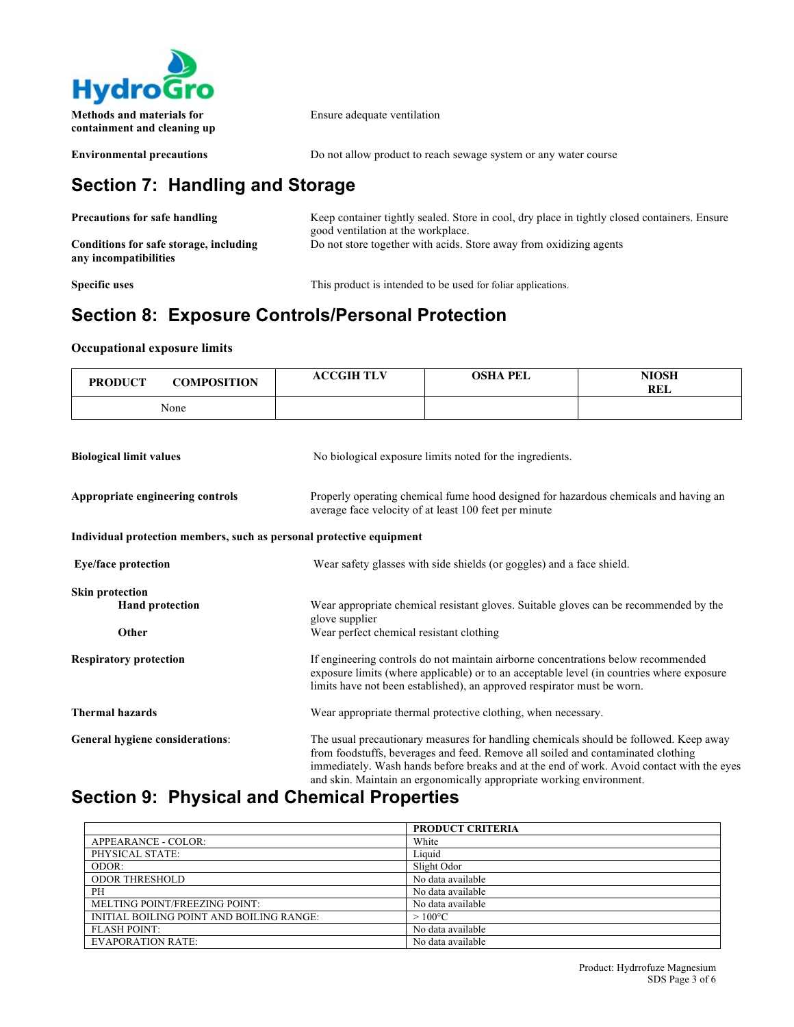

**containment and cleaning up**

Ensure adequate ventilation

**Environmental precautions** Do not allow product to reach sewage system or any water course

## **Section 7: Handling and Storage**

| <b>Precautions for safe handling</b>                            | Keep container tightly sealed. Store in cool, dry place in tightly closed containers. Ensure<br>good ventilation at the workplace. |
|-----------------------------------------------------------------|------------------------------------------------------------------------------------------------------------------------------------|
| Conditions for safe storage, including<br>any incompatibilities | Do not store together with acids. Store away from oxidizing agents                                                                 |

**Specific uses** This product is intended to be used for foliar applications.

### **Section 8: Exposure Controls/Personal Protection**

#### **Occupational exposure limits**

| <b>PRODUCT</b>                   | <b>COMPOSITION</b>     | <b>ACCGIH TLV</b>                                                    | <b>OSHA PEL</b>                                                                                                                                                                                                                                                                                                                                | <b>NIOSH</b><br><b>REL</b> |  |  |
|----------------------------------|------------------------|----------------------------------------------------------------------|------------------------------------------------------------------------------------------------------------------------------------------------------------------------------------------------------------------------------------------------------------------------------------------------------------------------------------------------|----------------------------|--|--|
|                                  | None                   |                                                                      |                                                                                                                                                                                                                                                                                                                                                |                            |  |  |
|                                  |                        |                                                                      |                                                                                                                                                                                                                                                                                                                                                |                            |  |  |
| <b>Biological limit values</b>   |                        |                                                                      | No biological exposure limits noted for the ingredients.                                                                                                                                                                                                                                                                                       |                            |  |  |
| Appropriate engineering controls |                        |                                                                      | Properly operating chemical fume hood designed for hazardous chemicals and having an<br>average face velocity of at least 100 feet per minute                                                                                                                                                                                                  |                            |  |  |
|                                  |                        | Individual protection members, such as personal protective equipment |                                                                                                                                                                                                                                                                                                                                                |                            |  |  |
| <b>Eye/face protection</b>       |                        |                                                                      | Wear safety glasses with side shields (or goggles) and a face shield.                                                                                                                                                                                                                                                                          |                            |  |  |
| <b>Skin protection</b>           | <b>Hand protection</b> | glove supplier                                                       | Wear appropriate chemical resistant gloves. Suitable gloves can be recommended by the                                                                                                                                                                                                                                                          |                            |  |  |
| Other                            |                        | Wear perfect chemical resistant clothing                             |                                                                                                                                                                                                                                                                                                                                                |                            |  |  |
| <b>Respiratory protection</b>    |                        |                                                                      | If engineering controls do not maintain airborne concentrations below recommended<br>exposure limits (where applicable) or to an acceptable level (in countries where exposure<br>limits have not been established), an approved respirator must be worn.                                                                                      |                            |  |  |
| <b>Thermal hazards</b>           |                        |                                                                      | Wear appropriate thermal protective clothing, when necessary.                                                                                                                                                                                                                                                                                  |                            |  |  |
| General hygiene considerations:  |                        |                                                                      | The usual precautionary measures for handling chemicals should be followed. Keep away<br>from foodstuffs, beverages and feed. Remove all soiled and contaminated clothing<br>immediately. Wash hands before breaks and at the end of work. Avoid contact with the eyes<br>and skin. Maintain an ergonomically appropriate working environment. |                            |  |  |

### **Section 9: Physical and Chemical Properties**

|                                          | <b>PRODUCT CRITERIA</b> |
|------------------------------------------|-------------------------|
| APPEARANCE - COLOR:                      | White                   |
| PHYSICAL STATE:                          | Liquid                  |
| ODOR:                                    | Slight Odor             |
| <b>ODOR THRESHOLD</b>                    | No data available       |
| PH                                       | No data available       |
| MELTING POINT/FREEZING POINT:            | No data available       |
| INITIAL BOILING POINT AND BOILING RANGE: | $>100^{\circ}$ C        |
| <b>FLASH POINT:</b>                      | No data available       |
| <b>EVAPORATION RATE:</b>                 | No data available       |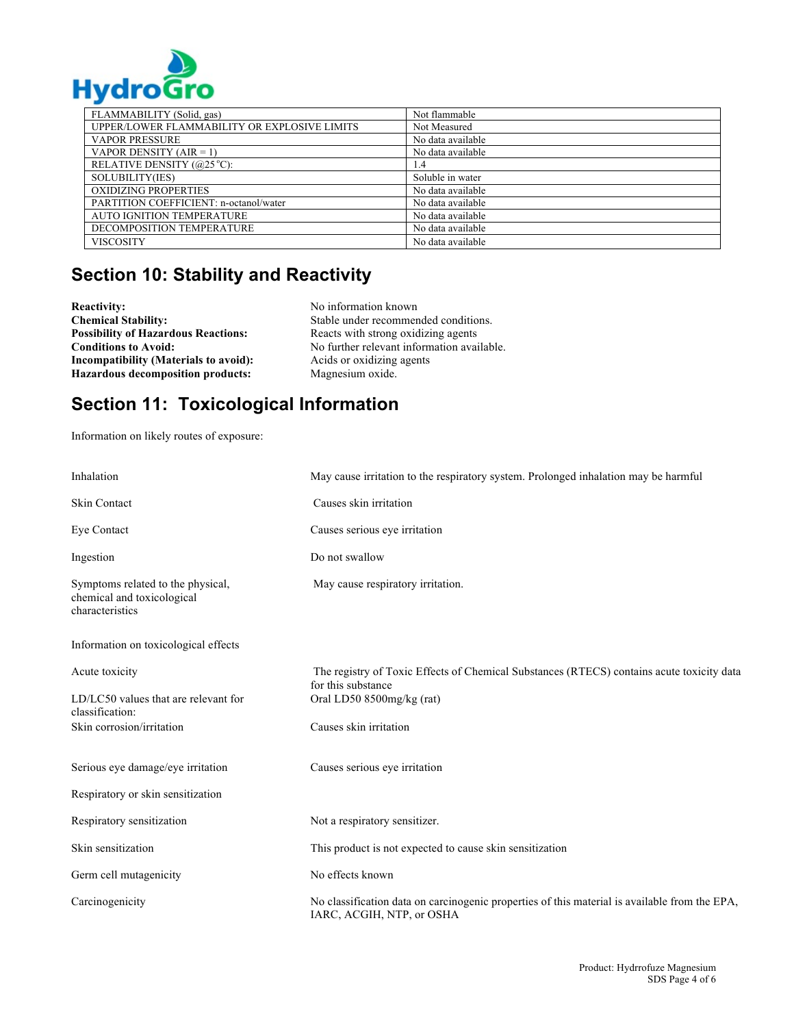

| FLAMMABILITY (Solid, gas)                    | Not flammable     |
|----------------------------------------------|-------------------|
| UPPER/LOWER FLAMMABILITY OR EXPLOSIVE LIMITS | Not Measured      |
| <b>VAPOR PRESSURE</b>                        | No data available |
| VAPOR DENSITY $(AIR = 1)$                    | No data available |
| RELATIVE DENSITY (@25 °C):                   | 1.4               |
| SOLUBILITY(IES)                              | Soluble in water  |
| <b>OXIDIZING PROPERTIES</b>                  | No data available |
| PARTITION COEFFICIENT: n-octanol/water       | No data available |
| <b>AUTO IGNITION TEMPERATURE</b>             | No data available |
| DECOMPOSITION TEMPERATURE                    | No data available |
| <b>VISCOSITY</b>                             | No data available |

### **Section 10: Stability and Reactivity**

**Reactivity:** No information known<br> **Chemical Stability:** No Stable under recommer **Possibility of Hazardous Reactions:** Reacts with strong oxidizing agents **Incompatibility (Materials to avoid):** Acids or oxidizing agents **Hazardous decomposition products:** Magnesium oxide.

Stable under recommended conditions. **Conditions to Avoid:** No further relevant information available.

### **Section 11: Toxicological Information**

Information on likely routes of exposure:

| Inhalation                                                                         | May cause irritation to the respiratory system. Prolonged inhalation may be harmful                                        |
|------------------------------------------------------------------------------------|----------------------------------------------------------------------------------------------------------------------------|
| <b>Skin Contact</b>                                                                | Causes skin irritation                                                                                                     |
| Eve Contact                                                                        | Causes serious eye irritation                                                                                              |
| Ingestion                                                                          | Do not swallow                                                                                                             |
| Symptoms related to the physical,<br>chemical and toxicological<br>characteristics | May cause respiratory irritation.                                                                                          |
| Information on toxicological effects                                               |                                                                                                                            |
| Acute toxicity                                                                     | The registry of Toxic Effects of Chemical Substances (RTECS) contains acute toxicity data<br>for this substance            |
| LD/LC50 values that are relevant for<br>classification:                            | Oral LD50 8500mg/kg (rat)                                                                                                  |
| Skin corrosion/irritation                                                          | Causes skin irritation                                                                                                     |
| Serious eye damage/eye irritation                                                  | Causes serious eye irritation                                                                                              |
| Respiratory or skin sensitization                                                  |                                                                                                                            |
| Respiratory sensitization                                                          | Not a respiratory sensitizer.                                                                                              |
| Skin sensitization                                                                 | This product is not expected to cause skin sensitization                                                                   |
| Germ cell mutagenicity                                                             | No effects known                                                                                                           |
| Carcinogenicity                                                                    | No classification data on carcinogenic properties of this material is available from the EPA,<br>IARC, ACGIH, NTP, or OSHA |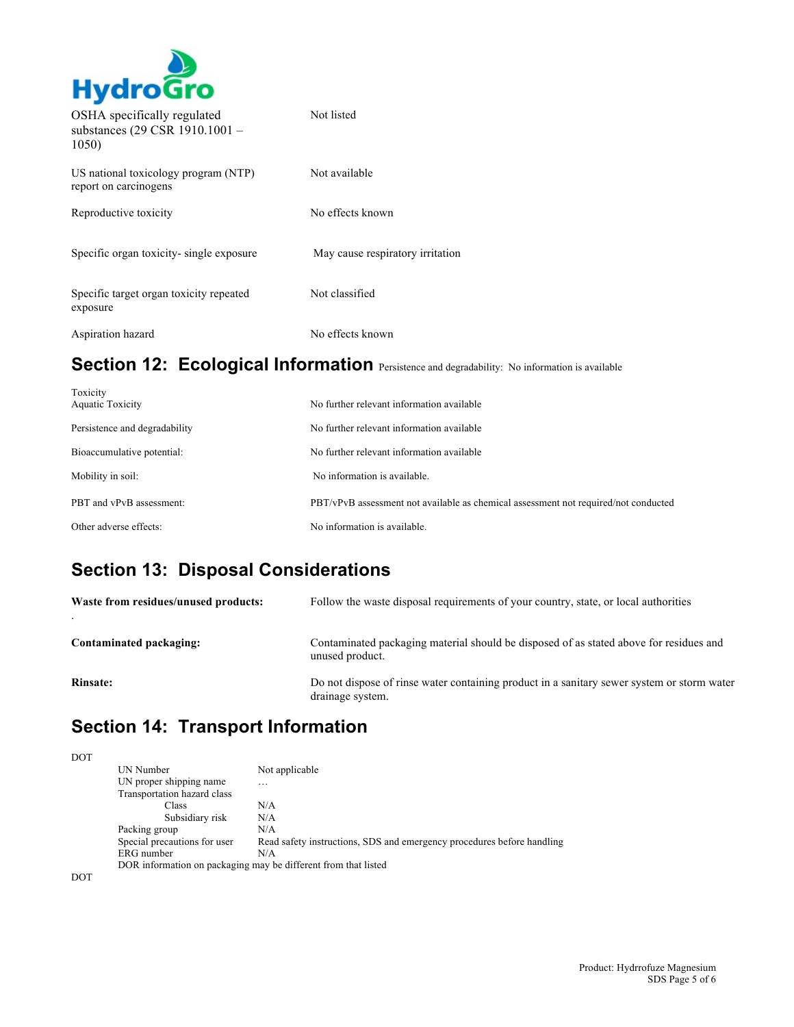

| OSHA specifically regulated<br>substances (29 CSR 1910.1001 -<br>1050) | Not listed                       |
|------------------------------------------------------------------------|----------------------------------|
| US national toxicology program (NTP)<br>report on carcinogens          | Not available                    |
| Reproductive toxicity                                                  | No effects known                 |
| Specific organ toxicity-single exposure                                | May cause respiratory irritation |
| Specific target organ toxicity repeated<br>exposure                    | Not classified                   |
| Aspiration hazard                                                      | No effects known                 |

# Section 12: Ecological Information Persistence and degradability: No information is available

| Toxicity<br><b>Aquatic Toxicity</b> | No further relevant information available                                           |
|-------------------------------------|-------------------------------------------------------------------------------------|
| Persistence and degradability       | No further relevant information available                                           |
| Bioaccumulative potential:          | No further relevant information available                                           |
| Mobility in soil:                   | No information is available.                                                        |
| PBT and vPvB assessment:            | PBT/vPvB assessment not available as chemical assessment not required/not conducted |
| Other adverse effects:              | No information is available.                                                        |

### **Section 13: Disposal Considerations**

| Waste from residues/unused products: | Follow the waste disposal requirements of your country, state, or local authorities                            |
|--------------------------------------|----------------------------------------------------------------------------------------------------------------|
| Contaminated packaging:              | Contaminated packaging material should be disposed of as stated above for residues and<br>unused product.      |
| <b>Rinsate:</b>                      | Do not dispose of rinse water containing product in a sanitary sewer system or storm water<br>drainage system. |

# **Section 14: Transport Information**

| <b>DOT</b> |                                                                |                                                                        |
|------------|----------------------------------------------------------------|------------------------------------------------------------------------|
|            | UN Number                                                      | Not applicable                                                         |
|            | UN proper shipping name<br>Transportation hazard class         | .                                                                      |
|            | Class                                                          | N/A                                                                    |
|            | Subsidiary risk                                                | N/A                                                                    |
|            | Packing group                                                  | N/A                                                                    |
|            | Special precautions for user                                   | Read safety instructions, SDS and emergency procedures before handling |
|            | ERG number                                                     | N/A                                                                    |
|            | DOR information on packaging may be different from that listed |                                                                        |
| DOT        |                                                                |                                                                        |